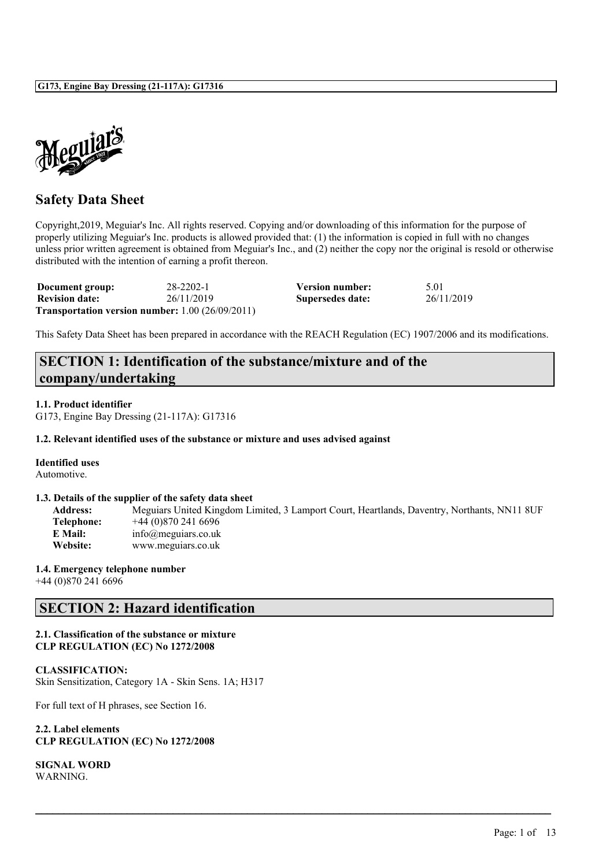

## **Safety Data Sheet**

Copyright,2019, Meguiar's Inc. All rights reserved. Copying and/or downloading of this information for the purpose of properly utilizing Meguiar's Inc. products is allowed provided that: (1) the information is copied in full with no changes unless prior written agreement is obtained from Meguiar's Inc., and (2) neither the copy nor the original is resold or otherwise distributed with the intention of earning a profit thereon.

| Document group:       | 28-2202-1                                                     | <b>Version number:</b> | 5.01       |
|-----------------------|---------------------------------------------------------------|------------------------|------------|
| <b>Revision date:</b> | 26/11/2019                                                    | Supersedes date:       | 26/11/2019 |
|                       | <b>Transportation version number:</b> $1.00$ ( $26/09/2011$ ) |                        |            |

This Safety Data Sheet has been prepared in accordance with the REACH Regulation (EC) 1907/2006 and its modifications.

# **SECTION 1: Identification of the substance/mixture and of the company/undertaking**

**1.1. Product identifier**

G173, Engine Bay Dressing (21-117A): G17316

#### **1.2. Relevant identified uses of the substance or mixture and uses advised against**

#### **Identified uses**

Automotive.

#### **1.3. Details of the supplier of the safety data sheet**

**Address:** Meguiars United Kingdom Limited, 3 Lamport Court, Heartlands, Daventry, Northants, NN11 8UF **Telephone:** +44 (0)870 241 6696 **E Mail:** info@meguiars.co.uk **Website:** www.meguiars.co.uk

 $\mathcal{L}_\mathcal{L} = \mathcal{L}_\mathcal{L} = \mathcal{L}_\mathcal{L} = \mathcal{L}_\mathcal{L} = \mathcal{L}_\mathcal{L} = \mathcal{L}_\mathcal{L} = \mathcal{L}_\mathcal{L} = \mathcal{L}_\mathcal{L} = \mathcal{L}_\mathcal{L} = \mathcal{L}_\mathcal{L} = \mathcal{L}_\mathcal{L} = \mathcal{L}_\mathcal{L} = \mathcal{L}_\mathcal{L} = \mathcal{L}_\mathcal{L} = \mathcal{L}_\mathcal{L} = \mathcal{L}_\mathcal{L} = \mathcal{L}_\mathcal{L}$ 

#### **1.4. Emergency telephone number**

+44 (0)870 241 6696

### **SECTION 2: Hazard identification**

#### **2.1. Classification of the substance or mixture CLP REGULATION (EC) No 1272/2008**

### **CLASSIFICATION:**

Skin Sensitization, Category 1A - Skin Sens. 1A; H317

For full text of H phrases, see Section 16.

**2.2. Label elements CLP REGULATION (EC) No 1272/2008**

**SIGNAL WORD WARNING**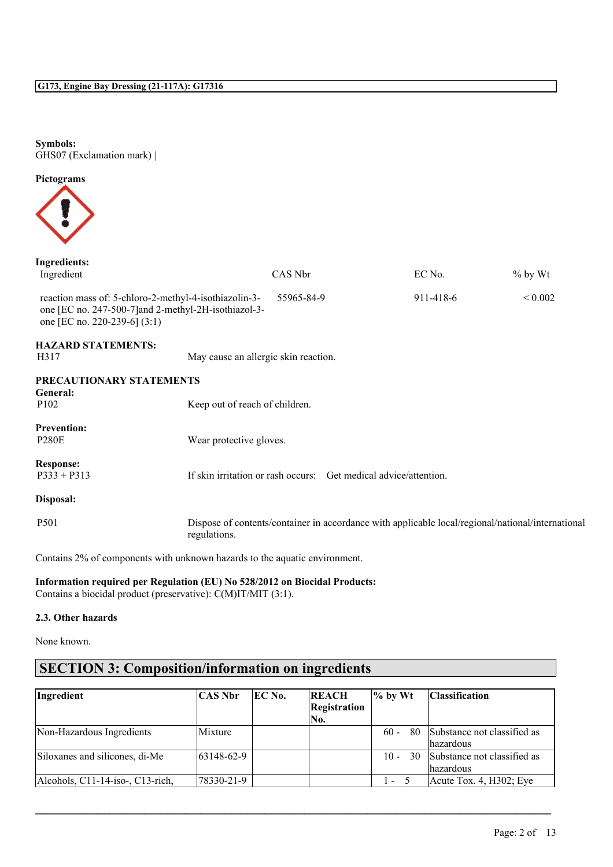**Symbols:** GHS07 (Exclamation mark) |

**Pictograms**



| <b>Ingredients:</b><br>Ingredient                                                                                                               |                                                                                                                                                                                                                                                                     | CAS Nbr    |                                                                  | EC No.                                                                                            | $%$ by Wt    |
|-------------------------------------------------------------------------------------------------------------------------------------------------|---------------------------------------------------------------------------------------------------------------------------------------------------------------------------------------------------------------------------------------------------------------------|------------|------------------------------------------------------------------|---------------------------------------------------------------------------------------------------|--------------|
|                                                                                                                                                 |                                                                                                                                                                                                                                                                     |            |                                                                  |                                                                                                   |              |
| reaction mass of: 5-chloro-2-methyl-4-isothiazolin-3-<br>one [EC no. 247-500-7] and 2-methyl-2H-isothiazol-3-<br>one [EC no. 220-239-6] $(3:1)$ |                                                                                                                                                                                                                                                                     | 55965-84-9 |                                                                  | 911-418-6                                                                                         | ${}_{0.002}$ |
| <b>HAZARD STATEMENTS:</b><br>H317                                                                                                               | May cause an allergic skin reaction.                                                                                                                                                                                                                                |            |                                                                  |                                                                                                   |              |
| PRECAUTIONARY STATEMENTS<br>General:                                                                                                            |                                                                                                                                                                                                                                                                     |            |                                                                  |                                                                                                   |              |
| P <sub>102</sub>                                                                                                                                | Keep out of reach of children.                                                                                                                                                                                                                                      |            |                                                                  |                                                                                                   |              |
| <b>Prevention:</b><br><b>P280E</b>                                                                                                              | Wear protective gloves.                                                                                                                                                                                                                                             |            |                                                                  |                                                                                                   |              |
| <b>Response:</b><br>$P333 + P313$                                                                                                               |                                                                                                                                                                                                                                                                     |            | If skin irritation or rash occurs: Get medical advice/attention. |                                                                                                   |              |
| Disposal:                                                                                                                                       |                                                                                                                                                                                                                                                                     |            |                                                                  |                                                                                                   |              |
| P501                                                                                                                                            | regulations.                                                                                                                                                                                                                                                        |            |                                                                  | Dispose of contents/container in accordance with applicable local/regional/national/international |              |
|                                                                                                                                                 | $\sim$ 0.000 $\sim$ 0.000 $\sim$ 0.000 $\sim$ 0.000 $\sim$ 0.000 $\sim$ 0.000 $\sim$ 0.000 $\sim$ 0.000 $\sim$ 0.000 $\sim$ 0.000 $\sim$ 0.000 $\sim$ 0.000 $\sim$ 0.000 $\sim$ 0.000 $\sim$ 0.000 $\sim$ 0.000 $\sim$ 0.000 $\sim$ 0.000 $\sim$ 0.000 $\sim$ 0.000 |            |                                                                  |                                                                                                   |              |

Contains 2% of components with unknown hazards to the aquatic environment.

#### **Information required per Regulation (EU) No 528/2012 on Biocidal Products:**

Contains a biocidal product (preservative): C(M)IT/MIT (3:1).

#### **2.3. Other hazards**

None known.

# **SECTION 3: Composition/information on ingredients**

| Ingredient                       | <b>CAS Nbr</b> | <b>IEC No.</b> | <b>REACH</b><br><b>Registration</b><br>No. | $\%$ by Wt   | <b>Classification</b>                           |
|----------------------------------|----------------|----------------|--------------------------------------------|--------------|-------------------------------------------------|
| Non-Hazardous Ingredients        | Mixture        |                |                                            | 80<br>$60 -$ | Substance not classified as<br><i>hazardous</i> |
| Siloxanes and silicones, di-Me   | 63148-62-9     |                |                                            | $10 -$       | 30 Substance not classified as<br>lhazardous    |
| Alcohols, C11-14-iso-, C13-rich, | 78330-21-9     |                |                                            | $\sim$       | $Acute$ Tox. 4, H302; Eye                       |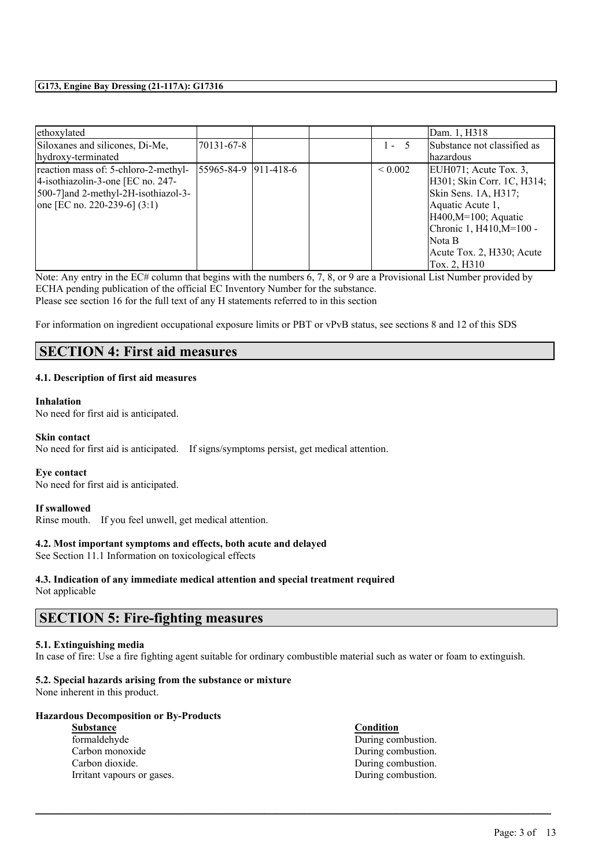| ethoxylated                          |                      |  |              | Dam. 1, H318                |
|--------------------------------------|----------------------|--|--------------|-----------------------------|
| Siloxanes and silicones, Di-Me,      | 70131-67-8           |  | $1 - 5$      | Substance not classified as |
| hydroxy-terminated                   |                      |  |              | lhazardous                  |
| reaction mass of: 5-chloro-2-methyl- | 55965-84-9 911-418-6 |  | ${}_{0.002}$ | EUH071; Acute Tox. 3,       |
| 4-isothiazolin-3-one [EC no. 247-    |                      |  |              | H301; Skin Corr. 1C, H314;  |
| 500-7 and 2-methyl-2H-isothiazol-3-  |                      |  |              | Skin Sens. 1A, H317;        |
| one [EC no. 220-239-6] $(3:1)$       |                      |  |              | Aquatic Acute 1,            |
|                                      |                      |  |              | $H400, M=100$ ; Aquatic     |
|                                      |                      |  |              | Chronic 1, H410, M=100 -    |
|                                      |                      |  |              | Nota B                      |
|                                      |                      |  |              | Acute Tox. 2, H330; Acute   |
|                                      |                      |  |              | Tox. 2, H310                |

Note: Any entry in the EC# column that begins with the numbers 6, 7, 8, or 9 are a Provisional List Number provided by ECHA pending publication of the official EC Inventory Number for the substance. Please see section 16 for the full text of any H statements referred to in this section

For information on ingredient occupational exposure limits or PBT or vPvB status, see sections 8 and 12 of this SDS

### **SECTION 4: First aid measures**

#### **4.1. Description of first aid measures**

#### **Inhalation**

No need for first aid is anticipated.

#### **Skin contact**

No need for first aid is anticipated. If signs/symptoms persist, get medical attention.

#### **Eye contact**

No need for first aid is anticipated.

#### **If swallowed**

Rinse mouth. If you feel unwell, get medical attention.

#### **4.2. Most important symptoms and effects, both acute and delayed**

See Section 11.1 Information on toxicological effects

#### **4.3. Indication of any immediate medical attention and special treatment required** Not applicable

### **SECTION 5: Fire-fighting measures**

#### **5.1. Extinguishing media**

In case of fire: Use a fire fighting agent suitable for ordinary combustible material such as water or foam to extinguish.

 $\mathcal{L}_\mathcal{L} = \mathcal{L}_\mathcal{L} = \mathcal{L}_\mathcal{L} = \mathcal{L}_\mathcal{L} = \mathcal{L}_\mathcal{L} = \mathcal{L}_\mathcal{L} = \mathcal{L}_\mathcal{L} = \mathcal{L}_\mathcal{L} = \mathcal{L}_\mathcal{L} = \mathcal{L}_\mathcal{L} = \mathcal{L}_\mathcal{L} = \mathcal{L}_\mathcal{L} = \mathcal{L}_\mathcal{L} = \mathcal{L}_\mathcal{L} = \mathcal{L}_\mathcal{L} = \mathcal{L}_\mathcal{L} = \mathcal{L}_\mathcal{L}$ 

#### **5.2. Special hazards arising from the substance or mixture**

None inherent in this product.

#### **Hazardous Decomposition or By-Products**

**Substance Condition** formaldehyde During combustion. Carbon monoxide During combustion. Carbon dioxide. During combustion. Irritant vapours or gases. During combustion.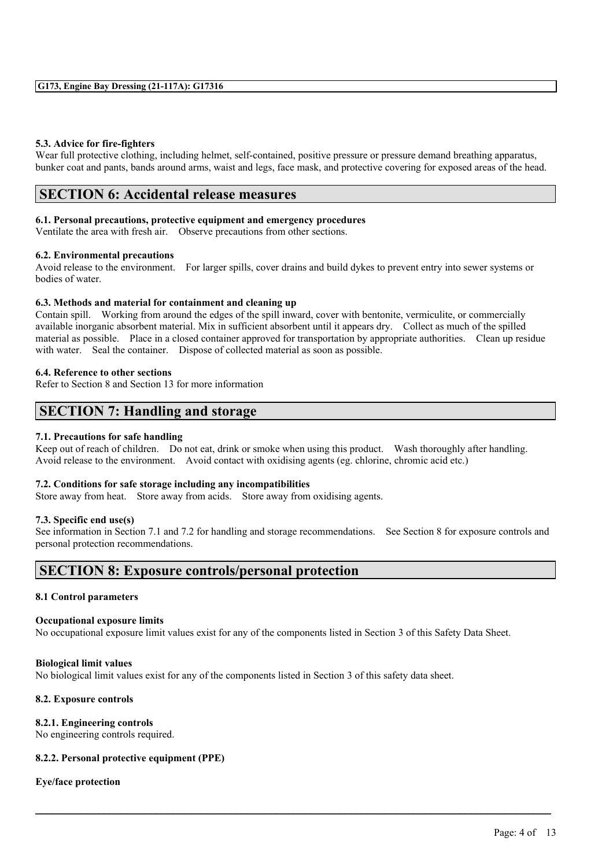#### **5.3. Advice for fire-fighters**

Wear full protective clothing, including helmet, self-contained, positive pressure or pressure demand breathing apparatus, bunker coat and pants, bands around arms, waist and legs, face mask, and protective covering for exposed areas of the head.

### **SECTION 6: Accidental release measures**

#### **6.1. Personal precautions, protective equipment and emergency procedures**

Ventilate the area with fresh air. Observe precautions from other sections.

#### **6.2. Environmental precautions**

Avoid release to the environment. For larger spills, cover drains and build dykes to prevent entry into sewer systems or bodies of water.

#### **6.3. Methods and material for containment and cleaning up**

Contain spill. Working from around the edges of the spill inward, cover with bentonite, vermiculite, or commercially available inorganic absorbent material. Mix in sufficient absorbent until it appears dry. Collect as much of the spilled material as possible. Place in a closed container approved for transportation by appropriate authorities. Clean up residue with water. Seal the container. Dispose of collected material as soon as possible.

#### **6.4. Reference to other sections**

Refer to Section 8 and Section 13 for more information

### **SECTION 7: Handling and storage**

#### **7.1. Precautions for safe handling**

Keep out of reach of children. Do not eat, drink or smoke when using this product. Wash thoroughly after handling. Avoid release to the environment. Avoid contact with oxidising agents (eg. chlorine, chromic acid etc.)

#### **7.2. Conditions for safe storage including any incompatibilities**

Store away from heat. Store away from acids. Store away from oxidising agents.

#### **7.3. Specific end use(s)**

See information in Section 7.1 and 7.2 for handling and storage recommendations. See Section 8 for exposure controls and personal protection recommendations.

 $\mathcal{L}_\mathcal{L} = \mathcal{L}_\mathcal{L} = \mathcal{L}_\mathcal{L} = \mathcal{L}_\mathcal{L} = \mathcal{L}_\mathcal{L} = \mathcal{L}_\mathcal{L} = \mathcal{L}_\mathcal{L} = \mathcal{L}_\mathcal{L} = \mathcal{L}_\mathcal{L} = \mathcal{L}_\mathcal{L} = \mathcal{L}_\mathcal{L} = \mathcal{L}_\mathcal{L} = \mathcal{L}_\mathcal{L} = \mathcal{L}_\mathcal{L} = \mathcal{L}_\mathcal{L} = \mathcal{L}_\mathcal{L} = \mathcal{L}_\mathcal{L}$ 

### **SECTION 8: Exposure controls/personal protection**

#### **8.1 Control parameters**

#### **Occupational exposure limits**

No occupational exposure limit values exist for any of the components listed in Section 3 of this Safety Data Sheet.

#### **Biological limit values**

No biological limit values exist for any of the components listed in Section 3 of this safety data sheet.

#### **8.2. Exposure controls**

#### **8.2.1. Engineering controls**

No engineering controls required.

#### **8.2.2. Personal protective equipment (PPE)**

#### **Eye/face protection**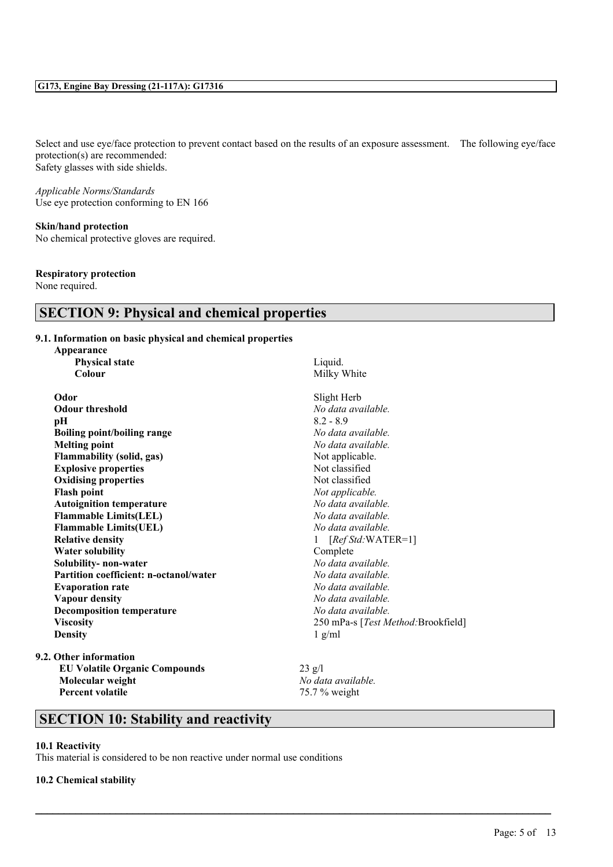Select and use eye/face protection to prevent contact based on the results of an exposure assessment. The following eye/face protection(s) are recommended: Safety glasses with side shields.

*Applicable Norms/Standards* Use eye protection conforming to EN 166

### **Skin/hand protection**

No chemical protective gloves are required.

#### **Respiratory protection**

None required.

## **SECTION 9: Physical and chemical properties**

#### **9.1. Information on basic physical and chemical properties**

| Appearance                                    |                                     |
|-----------------------------------------------|-------------------------------------|
| <b>Physical state</b>                         | Liquid.                             |
| Colour                                        | Milky White                         |
| Odor                                          | Slight Herb                         |
| <b>Odour threshold</b>                        | No data available.                  |
| pН                                            | $8.2 - 8.9$                         |
| <b>Boiling point/boiling range</b>            | No data available.                  |
| <b>Melting point</b>                          | No data available.                  |
| <b>Flammability (solid, gas)</b>              | Not applicable.                     |
| <b>Explosive properties</b>                   | Not classified                      |
| <b>Oxidising properties</b>                   | Not classified                      |
| <b>Flash point</b>                            | Not applicable.                     |
| <b>Autoignition temperature</b>               | No data available.                  |
| <b>Flammable Limits(LEL)</b>                  | No data available.                  |
| <b>Flammable Limits(UEL)</b>                  | No data available.                  |
| <b>Relative density</b>                       | $[RefStd:WATER=1]$                  |
| <b>Water solubility</b>                       | Complete                            |
| Solubility- non-water                         | No data available.                  |
| <b>Partition coefficient: n-octanol/water</b> | No data available.                  |
| <b>Evaporation rate</b>                       | No data available.                  |
| <b>Vapour density</b>                         | No data available.                  |
| <b>Decomposition temperature</b>              | No data available.                  |
| <b>Viscosity</b>                              | 250 mPa-s [Test Method: Brookfield] |
| <b>Density</b>                                | $1$ g/ml                            |

**EU Volatile Organic Compounds** 23 g/l **Molecular weight** *No**data available.*<br> **Percent volatile** *No**data available.*<br> **Percent volatile** 

**Percent volatile** 75.7 % weight

 $\mathcal{L}_\mathcal{L} = \mathcal{L}_\mathcal{L} = \mathcal{L}_\mathcal{L} = \mathcal{L}_\mathcal{L} = \mathcal{L}_\mathcal{L} = \mathcal{L}_\mathcal{L} = \mathcal{L}_\mathcal{L} = \mathcal{L}_\mathcal{L} = \mathcal{L}_\mathcal{L} = \mathcal{L}_\mathcal{L} = \mathcal{L}_\mathcal{L} = \mathcal{L}_\mathcal{L} = \mathcal{L}_\mathcal{L} = \mathcal{L}_\mathcal{L} = \mathcal{L}_\mathcal{L} = \mathcal{L}_\mathcal{L} = \mathcal{L}_\mathcal{L}$ 

# **SECTION 10: Stability and reactivity**

#### **10.1 Reactivity**

This material is considered to be non reactive under normal use conditions

#### **10.2 Chemical stability**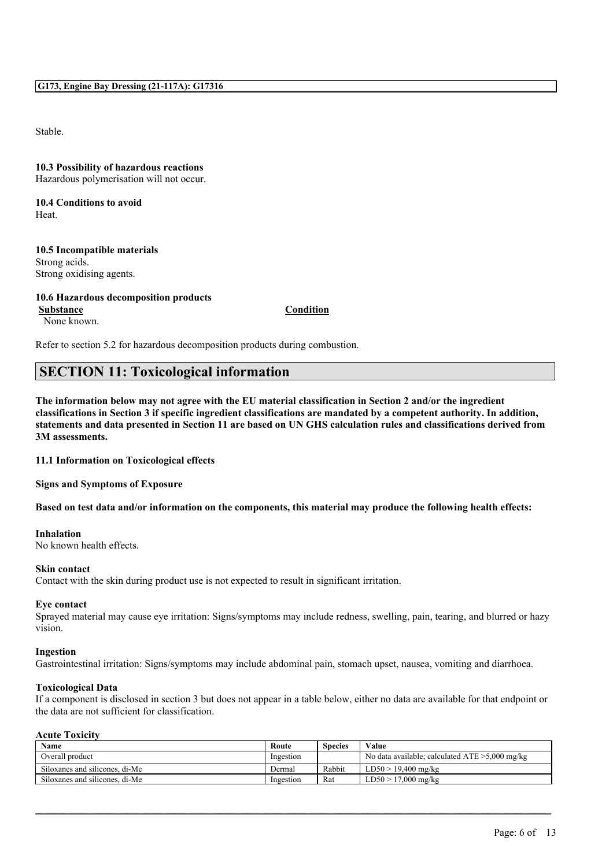Stable.

**10.3 Possibility of hazardous reactions** Hazardous polymerisation will not occur.

**10.4 Conditions to avoid Heat**.

#### **10.5 Incompatible materials** Strong acids. Strong oxidising agents.

## **10.6 Hazardous decomposition products Substance Condition**

None known.

Refer to section 5.2 for hazardous decomposition products during combustion.

### **SECTION 11: Toxicological information**

The information below may not agree with the EU material classification in Section 2 and/or the ingredient classifications in Section 3 if specific ingredient classifications are mandated by a competent authority. In addition, statements and data presented in Section 11 are based on UN GHS calculation rules and classifications derived from **3M assessments.**

**11.1 Information on Toxicological effects**

**Signs and Symptoms of Exposure**

Based on test data and/or information on the components, this material may produce the following health effects:

#### **Inhalation**

No known health effects.

#### **Skin contact**

Contact with the skin during product use is not expected to result in significant irritation.

#### **Eye contact**

Sprayed material may cause eye irritation: Signs/symptoms may include redness, swelling, pain, tearing, and blurred or hazy vision.

#### **Ingestion**

Gastrointestinal irritation: Signs/symptoms may include abdominal pain, stomach upset, nausea, vomiting and diarrhoea.

#### **Toxicological Data**

If a component is disclosed in section 3 but does not appear in a table below, either no data are available for that endpoint or the data are not sufficient for classification.

#### **Acute Toxicity**

| Name                           | Route     | <b>Species</b> | Value                                             |
|--------------------------------|-----------|----------------|---------------------------------------------------|
| Overall product                | Ingestion |                | No data available; calculated $ATE > 5,000$ mg/kg |
| Siloxanes and silicones, di-Me | Dermal    | Rabbit         | $LD50 > 19,400$ mg/kg                             |
| Siloxanes and silicones, di-Me | Ingestion | Rat            | $LD50 > 17,000$ mg/kg                             |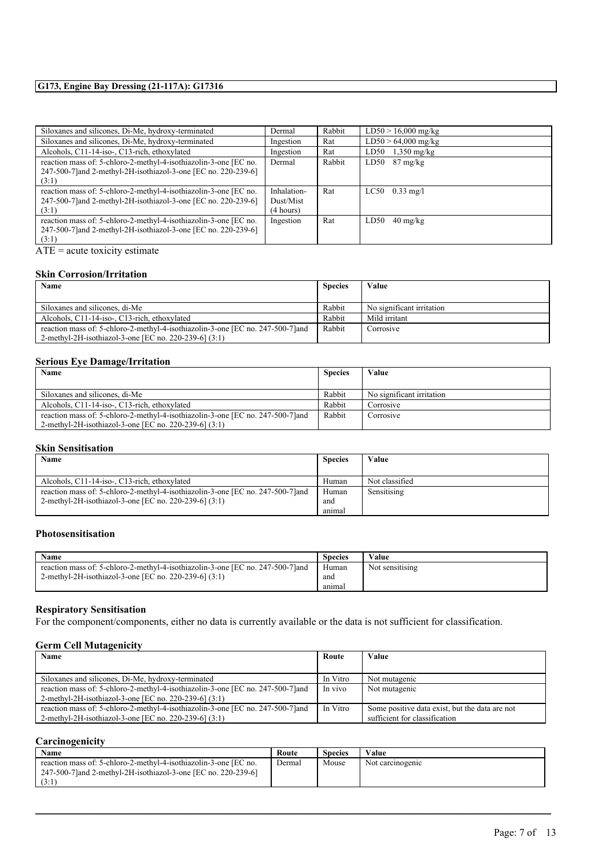| Siloxanes and silicones, Di-Me, hydroxy-terminated               | Dermal      | Rabbit | $LD50 > 16,000$ mg/kg         |
|------------------------------------------------------------------|-------------|--------|-------------------------------|
| Siloxanes and silicones, Di-Me, hydroxy-terminated               | Ingestion   | Rat    | $LD50 > 64,000$ mg/kg         |
| Alcohols, C11-14-iso-, C13-rich, ethoxylated                     | Ingestion   | Rat    | LD50<br>$1,350 \text{ mg/kg}$ |
| reaction mass of: 5-chloro-2-methyl-4-isothiazolin-3-one [EC no. | Dermal      | Rabbit | LD50<br>$87 \text{ mg/kg}$    |
| 247-500-7] and 2-methyl-2H-isothiazol-3-one [EC no. 220-239-6]   |             |        |                               |
| (3:1)                                                            |             |        |                               |
| reaction mass of: 5-chloro-2-methyl-4-isothiazolin-3-one [EC no. | Inhalation- | Rat    | LC50<br>$0.33 \text{ mg/l}$   |
| 247-500-7] and 2-methyl-2H-isothiazol-3-one [EC no. 220-239-6]   | Dust/Mist   |        |                               |
| (3:1)                                                            | (4 hours)   |        |                               |
| reaction mass of: 5-chloro-2-methyl-4-isothiazolin-3-one [EC no. | Ingestion   | Rat    | LD50<br>$40 \text{ mg/kg}$    |
| 247-500-7] and 2-methyl-2H-isothiazol-3-one [EC no. 220-239-6]   |             |        |                               |
| (3:1)                                                            |             |        |                               |

 $\overline{ATE}$  = acute toxicity estimate

#### **Skin Corrosion/Irritation**

| Name                                                                            | <b>Species</b> | Value                     |
|---------------------------------------------------------------------------------|----------------|---------------------------|
|                                                                                 |                |                           |
| Siloxanes and silicones, di-Me                                                  | Rabbit         | No significant irritation |
| Alcohols, C11-14-iso-, C13-rich, ethoxylated                                    | Rabbit         | Mild irritant             |
| reaction mass of: 5-chloro-2-methyl-4-isothiazolin-3-one [EC no. 247-500-7] and | Rabbit         | Corrosive                 |
| 2-methyl-2H-isothiazol-3-one [EC no. 220-239-6] (3:1)                           |                |                           |

#### **Serious Eye Damage/Irritation**

| Name                                                                            | <b>Species</b> | Value                     |
|---------------------------------------------------------------------------------|----------------|---------------------------|
|                                                                                 |                |                           |
| Siloxanes and silicones, di-Me                                                  | Rabbit         | No significant irritation |
| Alcohols, C11-14-iso-, C13-rich, ethoxylated                                    | Rabbit         | Corrosive                 |
| reaction mass of: 5-chloro-2-methyl-4-isothiazolin-3-one [EC no. 247-500-7] and | Rabbit         | Corrosive                 |
| 2-methyl-2H-isothiazol-3-one [EC no. 220-239-6] (3:1)                           |                |                           |

#### **Skin Sensitisation**

| Name                                                                            | <b>Species</b> | Value          |
|---------------------------------------------------------------------------------|----------------|----------------|
|                                                                                 |                |                |
| Alcohols, C11-14-iso-, C13-rich, ethoxylated                                    | Human          | Not classified |
| reaction mass of: 5-chloro-2-methyl-4-isothiazolin-3-one [EC no. 247-500-7] and | Human          | Sensitising    |
| 2-methyl-2H-isothiazol-3-one [EC no. 220-239-6] (3:1)                           | and            |                |
|                                                                                 | anımal         |                |

#### **Photosensitisation**

| Name                                                                            | <b>Species</b> | Value           |
|---------------------------------------------------------------------------------|----------------|-----------------|
| reaction mass of: 5-chloro-2-methyl-4-isothiazolin-3-one [EC no. 247-500-7] and | Human          | Not sensitising |
| 2-methyl-2H-isothiazol-3-one [EC no. 220-239-6] (3:1)                           | and            |                 |
|                                                                                 | anımal         |                 |

#### **Respiratory Sensitisation**

For the component/components, either no data is currently available or the data is not sufficient for classification.

#### **Germ Cell Mutagenicity**

| Name                                                                            | Route    | Value                                          |
|---------------------------------------------------------------------------------|----------|------------------------------------------------|
|                                                                                 |          |                                                |
| Siloxanes and silicones, Di-Me, hydroxy-terminated                              | In Vitro | Not mutagenic                                  |
| reaction mass of: 5-chloro-2-methyl-4-isothiazolin-3-one [EC no. 247-500-7] and | In vivo  | Not mutagenic                                  |
| 2-methyl-2H-isothiazol-3-one [EC no. 220-239-6] (3:1)                           |          |                                                |
| reaction mass of: 5-chloro-2-methyl-4-isothiazolin-3-one [EC no. 247-500-7] and | In Vitro | Some positive data exist, but the data are not |
| 2-methyl-2H-isothiazol-3-one [EC no. 220-239-6] (3:1)                           |          | sufficient for classification                  |

### **Carcinogenicity**

| Name                                                                                                                                       | Route  | Species | Value            |
|--------------------------------------------------------------------------------------------------------------------------------------------|--------|---------|------------------|
| reaction mass of: 5-chloro-2-methyl-4-isothiazolin-3-one [EC no.<br>247-500-7 and 2-methyl-2H-isothiazol-3-one [EC no. 220-239-6]<br>(3:1) | Dermal | Mouse   | Not carcinogenic |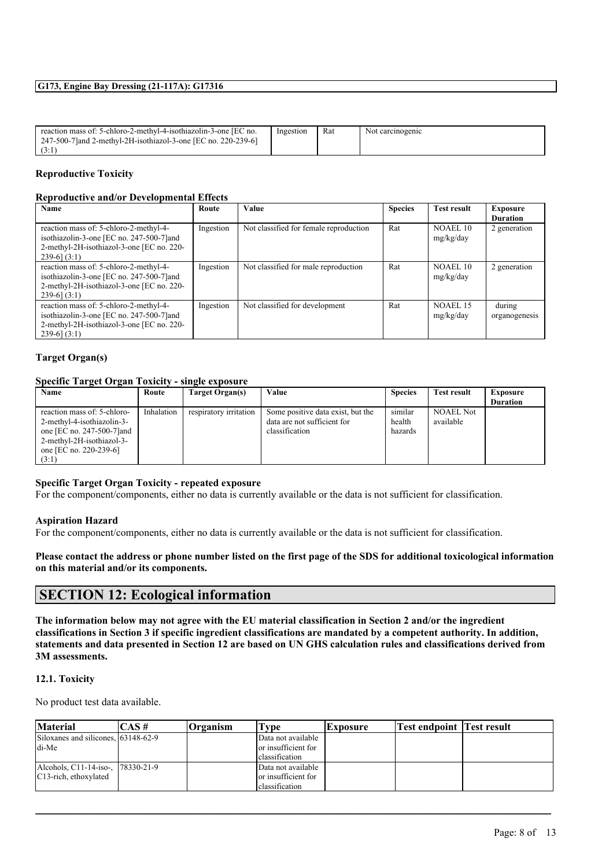| reaction mass of: 5-chloro-2-methyl-4-isothiazolin-3-one [EC no. | Ingestion | Rat | Not carcinogenic |
|------------------------------------------------------------------|-----------|-----|------------------|
| 247-500-7 and 2-methyl-2H-isothiazol-3-one [EC no. 220-239-6]    |           |     |                  |
|                                                                  |           |     |                  |

#### **Reproductive Toxicity**

#### **Reproductive and/or Developmental Effects**

| Name                                                                                                                                                  | Route     | Value                                  | <b>Species</b> | <b>Test result</b>    | Exposure<br><b>Duration</b> |
|-------------------------------------------------------------------------------------------------------------------------------------------------------|-----------|----------------------------------------|----------------|-----------------------|-----------------------------|
| reaction mass of: 5-chloro-2-methyl-4-<br>isothiazolin-3-one [EC no. 247-500-7] and<br>2-methyl-2H-isothiazol-3-one [EC no. 220-<br>$239-6$ ] $(3:1)$ | Ingestion | Not classified for female reproduction | Rat            | NOAEL10<br>mg/kg/day  | 2 generation                |
| reaction mass of: 5-chloro-2-methyl-4-<br>isothiazolin-3-one [EC no. 247-500-7] and<br>2-methyl-2H-isothiazol-3-one [EC no. 220-<br>$239-6$ (3:1)     | Ingestion | Not classified for male reproduction   | Rat            | NOAEL 10<br>mg/kg/day | 2 generation                |
| reaction mass of: 5-chloro-2-methyl-4-<br>isothiazolin-3-one [EC no. 247-500-7] and<br>2-methyl-2H-isothiazol-3-one [EC no. 220-<br>$239-6$ (3:1)     | Ingestion | Not classified for development         | Rat            | NOAEL 15<br>mg/kg/day | during<br>organogenesis     |

#### **Target Organ(s)**

#### **Specific Target Organ Toxicity - single exposure**

| Name                                                                                                                                                    | Route      | Target Organ(s)        | Value                                                                              | <b>Species</b>               | <b>Test result</b>     | <b>Exposure</b><br><b>Duration</b> |
|---------------------------------------------------------------------------------------------------------------------------------------------------------|------------|------------------------|------------------------------------------------------------------------------------|------------------------------|------------------------|------------------------------------|
| reaction mass of: 5-chloro-<br>2-methyl-4-isothiazolin-3-<br>one [EC no. 247-500-7] and<br>2-methyl-2H-isothiazol-3-<br>one [EC no. 220-239-6]<br>(3:1) | Inhalation | respiratory irritation | Some positive data exist, but the<br>data are not sufficient for<br>classification | similar<br>health<br>hazards | NOAEL Not<br>available |                                    |

#### **Specific Target Organ Toxicity - repeated exposure**

For the component/components, either no data is currently available or the data is not sufficient for classification.

#### **Aspiration Hazard**

For the component/components, either no data is currently available or the data is not sufficient for classification.

#### Please contact the address or phone number listed on the first page of the SDS for additional toxicological information **on this material and/or its components.**

### **SECTION 12: Ecological information**

The information below may not agree with the EU material classification in Section 2 and/or the ingredient classifications in Section 3 if specific ingredient classifications are mandated by a competent authority. In addition, statements and data presented in Section 12 are based on UN GHS calculation rules and classifications derived from **3M assessments.**

#### **12.1. Toxicity**

No product test data available.

| <b>Material</b>                     | $ICAS \#$ | <b>Organism</b> | l'vpe               | Exposure | <b>Test endpoint Test result</b> |  |
|-------------------------------------|-----------|-----------------|---------------------|----------|----------------------------------|--|
| Siloxanes and silicones, 63148-62-9 |           |                 | Data not available  |          |                                  |  |
| di-Me                               |           |                 | or insufficient for |          |                                  |  |
|                                     |           |                 | classification      |          |                                  |  |
| Alcohols, C11-14-iso-, 178330-21-9  |           |                 | Data not available  |          |                                  |  |
| C <sub>13</sub> -rich, ethoxylated  |           |                 | or insufficient for |          |                                  |  |
|                                     |           |                 | classification      |          |                                  |  |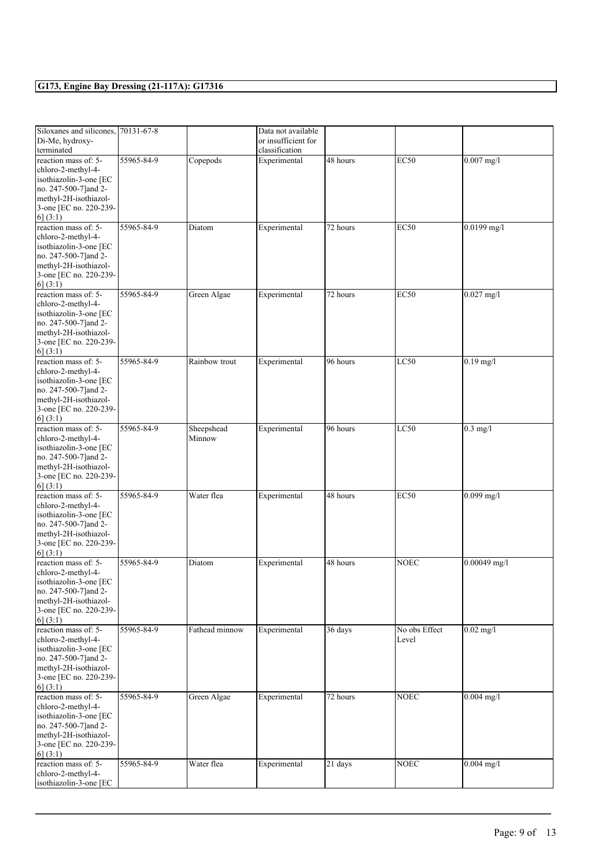| Siloxanes and silicones, 70131-67-8                                                                                                                          |            |                      | Data not available  |           |                        |                |
|--------------------------------------------------------------------------------------------------------------------------------------------------------------|------------|----------------------|---------------------|-----------|------------------------|----------------|
| Di-Me, hydroxy-                                                                                                                                              |            |                      | or insufficient for |           |                        |                |
| terminated                                                                                                                                                   |            |                      | classification      |           |                        |                |
| reaction mass of: 5-<br>chloro-2-methyl-4-<br>isothiazolin-3-one [EC<br>no. 247-500-7] and 2-<br>methyl-2H-isothiazol-<br>3-one [EC no. 220-239-<br>6(3:1)   | 55965-84-9 | Copepods             | Experimental        | 48 hours  | <b>EC50</b>            | $0.007$ mg/l   |
| reaction mass of: 5-                                                                                                                                         | 55965-84-9 | Diatom               | Experimental        | 72 hours  | <b>EC50</b>            | $0.0199$ mg/l  |
| chloro-2-methyl-4-<br>isothiazolin-3-one [EC<br>no. 247-500-7] and 2-<br>methyl-2H-isothiazol-<br>3-one [EC no. 220-239-<br>6(3:1)                           |            |                      |                     |           |                        |                |
| reaction mass of: 5-<br>chloro-2-methyl-4-<br>isothiazolin-3-one [EC<br>no. 247-500-7] and 2-<br>methyl-2H-isothiazol-<br>3-one [EC no. 220-239-<br>6(3:1)   | 55965-84-9 | Green Algae          | Experimental        | 72 hours  | <b>EC50</b>            | $0.027$ mg/l   |
| reaction mass of: 5-<br>chloro-2-methyl-4-<br>isothiazolin-3-one [EC<br>no. 247-500-7] and 2-<br>methyl-2H-isothiazol-<br>3-one [EC no. 220-239-<br>6] (3:1) | 55965-84-9 | Rainbow trout        | Experimental        | 96 hours  | LC50                   | $0.19$ mg/l    |
| reaction mass of: 5-<br>chloro-2-methyl-4-<br>isothiazolin-3-one [EC<br>no. 247-500-7] and 2-<br>methyl-2H-isothiazol-<br>3-one [EC no. 220-239-<br>6(3:1)   | 55965-84-9 | Sheepshead<br>Minnow | Experimental        | 96 hours  | LC50                   | $0.3$ mg/l     |
| reaction mass of: 5-<br>chloro-2-methyl-4-<br>isothiazolin-3-one [EC<br>no. 247-500-7] and 2-<br>methyl-2H-isothiazol-<br>3-one [EC no. 220-239-<br>6] (3:1) | 55965-84-9 | Water flea           | Experimental        | 48 hours  | EC50                   | $0.099$ mg/l   |
| reaction mass of: 5-<br>chloro-2-methyl-4-<br>isothiazolin-3-one [EC<br>no. 247-500-7] and 2-<br>methyl-2H-isothiazol-<br>3-one [EC no. 220-239-<br>6(3:1)   | 55965-84-9 | Diatom               | Experimental        | 48 hours  | <b>NOEC</b>            | $0.00049$ mg/l |
| reaction mass of: 5-<br>chloro-2-methyl-4-<br>isothiazolin-3-one [EC<br>no. 247-500-7] and 2-<br>methyl-2H-isothiazol-<br>3-one [EC no. 220-239-<br>6(3:1)   | 55965-84-9 | Fathead minnow       | Experimental        | 36 days   | No obs Effect<br>Level | $0.02$ mg/l    |
| reaction mass of: 5-<br>chloro-2-methyl-4-<br>isothiazolin-3-one [EC<br>no. 247-500-7] and 2-<br>methyl-2H-isothiazol-<br>3-one [EC no. 220-239-<br>6] (3:1) | 55965-84-9 | Green Algae          | Experimental        | 72 hours  | <b>NOEC</b>            | $0.004$ mg/l   |
| reaction mass of: 5-<br>chloro-2-methyl-4-<br>isothiazolin-3-one [EC                                                                                         | 55965-84-9 | Water flea           | Experimental        | $21$ days | <b>NOEC</b>            | $0.004$ mg/l   |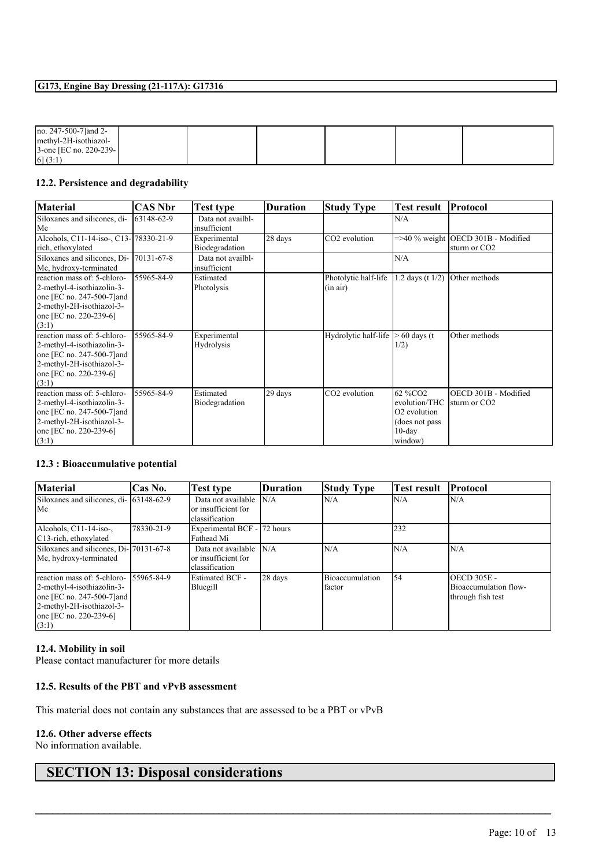| no. $247-500-7$ ] and 2-   |  |  |  |
|----------------------------|--|--|--|
| methyl-2H-isothiazol-      |  |  |  |
| $3$ -one [EC no. 220-239-] |  |  |  |
| 6(3:1)                     |  |  |  |

#### **12.2. Persistence and degradability**

| <b>Material</b>                         | <b>CAS Nbr</b> | <b>Test type</b>  | <b>Duration</b> | <b>Study Type</b>         | <b>Test result</b>       | <b>Protocol</b>                       |
|-----------------------------------------|----------------|-------------------|-----------------|---------------------------|--------------------------|---------------------------------------|
| Siloxanes and silicones, di-            | 63148-62-9     | Data not availbl- |                 |                           | N/A                      |                                       |
| Me                                      |                | insufficient      |                 |                           |                          |                                       |
| Alcohols, C11-14-iso-, C13-178330-21-9  |                | Experimental      | 28 days         | CO <sub>2</sub> evolution |                          | $=$ >40 % weight OECD 301B - Modified |
| rich, ethoxylated                       |                | Biodegradation    |                 |                           |                          | sturm or CO <sub>2</sub>              |
| Siloxanes and silicones, Di- 70131-67-8 |                | Data not availbl- |                 |                           | N/A                      |                                       |
| Me, hydroxy-terminated                  |                | insufficient      |                 |                           |                          |                                       |
| reaction mass of: 5-chloro-             | 55965-84-9     | Estimated         |                 | Photolytic half-life      | 1.2 days (t $1/2$ )      | Other methods                         |
| 2-methyl-4-isothiazolin-3-              |                | Photolysis        |                 | (in air)                  |                          |                                       |
| one [EC no. 247-500-7] and              |                |                   |                 |                           |                          |                                       |
| 2-methyl-2H-isothiazol-3-               |                |                   |                 |                           |                          |                                       |
| one [EC no. 220-239-6]                  |                |                   |                 |                           |                          |                                       |
| (3:1)                                   |                |                   |                 |                           |                          |                                       |
| reaction mass of: 5-chloro-             | 55965-84-9     | Experimental      |                 | Hydrolytic half-life      | $> 60$ days (t)          | Other methods                         |
| 2-methyl-4-isothiazolin-3-              |                | Hydrolysis        |                 |                           | 1/2)                     |                                       |
| one [EC no. 247-500-7] and              |                |                   |                 |                           |                          |                                       |
| 2-methyl-2H-isothiazol-3-               |                |                   |                 |                           |                          |                                       |
| one [EC no. 220-239-6]                  |                |                   |                 |                           |                          |                                       |
| (3:1)                                   |                |                   |                 |                           |                          |                                       |
| reaction mass of: 5-chloro-             | 55965-84-9     | Estimated         | 29 days         | CO2 evolution             | 62 %CO <sub>2</sub>      | OECD 301B - Modified                  |
| 2-methyl-4-isothiazolin-3-              |                | Biodegradation    |                 |                           | evolution/THC            | sturm or CO <sub>2</sub>              |
| one [EC no. 247-500-7] and              |                |                   |                 |                           | O <sub>2</sub> evolution |                                       |
| 2-methyl-2H-isothiazol-3-               |                |                   |                 |                           | (does not pass)          |                                       |
| one [EC no. 220-239-6]                  |                |                   |                 |                           | $10$ -day                |                                       |
| (3:1)                                   |                |                   |                 |                           | window)                  |                                       |

#### **12.3 : Bioaccumulative potential**

| <b>Material</b>                                                                                                                                         | Cas No.    | Test type                                                   | <b>Duration</b> | <b>Study Type</b>         | <b>Test result</b> | <b>Protocol</b>                                                  |
|---------------------------------------------------------------------------------------------------------------------------------------------------------|------------|-------------------------------------------------------------|-----------------|---------------------------|--------------------|------------------------------------------------------------------|
| Siloxanes and silicones, di- 63148-62-9<br>Me                                                                                                           |            | Data not available<br>or insufficient for<br>classification | N/A             | N/A                       | N/A                | N/A                                                              |
| Alcohols, C11-14-iso-,<br>C <sub>13</sub> -rich, ethoxylated                                                                                            | 78330-21-9 | Experimental BCF - 72 hours<br>Fathead Mi                   |                 |                           | 232                |                                                                  |
| Siloxanes and silicones, Di-170131-67-8<br>Me, hydroxy-terminated                                                                                       |            | Data not available<br>or insufficient for<br>classification | N/A             | N/A                       | N/A                | N/A                                                              |
| reaction mass of: 5-chloro-<br>2-methyl-4-isothiazolin-3-<br>one [EC no. 247-500-7] and<br>2-methyl-2H-isothiazol-3-<br>one [EC no. 220-239-6]<br>(3:1) | 55965-84-9 | <b>Estimated BCF -</b><br>Bluegill                          | 28 days         | Bioaccumulation<br>factor | 54                 | <b>OECD 305E -</b><br>Bioaccumulation flow-<br>through fish test |

 $\mathcal{L}_\mathcal{L} = \mathcal{L}_\mathcal{L} = \mathcal{L}_\mathcal{L} = \mathcal{L}_\mathcal{L} = \mathcal{L}_\mathcal{L} = \mathcal{L}_\mathcal{L} = \mathcal{L}_\mathcal{L} = \mathcal{L}_\mathcal{L} = \mathcal{L}_\mathcal{L} = \mathcal{L}_\mathcal{L} = \mathcal{L}_\mathcal{L} = \mathcal{L}_\mathcal{L} = \mathcal{L}_\mathcal{L} = \mathcal{L}_\mathcal{L} = \mathcal{L}_\mathcal{L} = \mathcal{L}_\mathcal{L} = \mathcal{L}_\mathcal{L}$ 

### **12.4. Mobility in soil**

Please contact manufacturer for more details

#### **12.5. Results of the PBT and vPvB assessment**

This material does not contain any substances that are assessed to be a PBT or vPvB

#### **12.6. Other adverse effects**

No information available.

# **SECTION 13: Disposal considerations**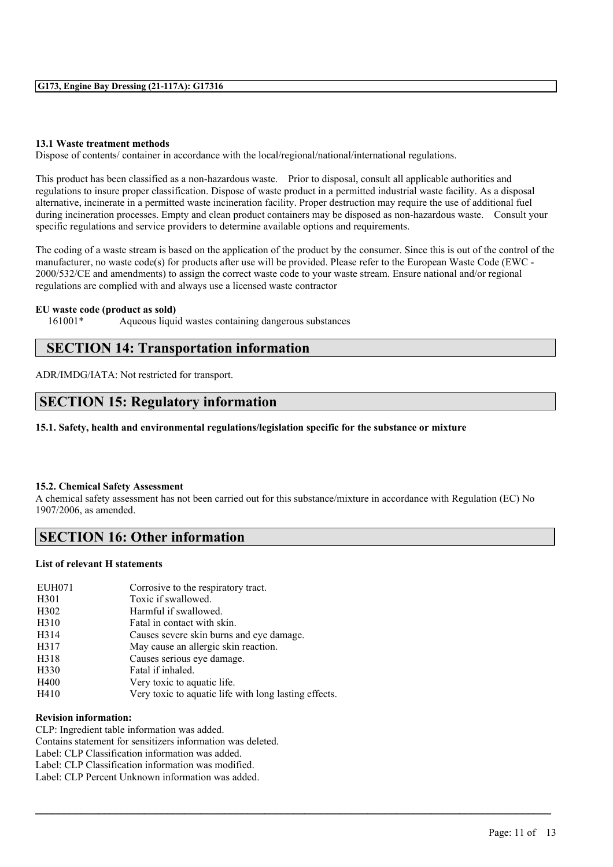#### **13.1 Waste treatment methods**

Dispose of contents/ container in accordance with the local/regional/national/international regulations.

This product has been classified as a non-hazardous waste. Prior to disposal, consult all applicable authorities and regulations to insure proper classification. Dispose of waste product in a permitted industrial waste facility. As a disposal alternative, incinerate in a permitted waste incineration facility. Proper destruction may require the use of additional fuel during incineration processes. Empty and clean product containers may be disposed as non-hazardous waste. Consult your specific regulations and service providers to determine available options and requirements.

The coding of a waste stream is based on the application of the product by the consumer. Since this is out of the control of the manufacturer, no waste code(s) for products after use will be provided. Please refer to the European Waste Code (EWC - 2000/532/CE and amendments) to assign the correct waste code to your waste stream. Ensure national and/or regional regulations are complied with and always use a licensed waste contractor

#### **EU waste code (product as sold)**

161001\* Aqueous liquid wastes containing dangerous substances

### **SECTION 14: Transportation information**

ADR/IMDG/IATA: Not restricted for transport.

### **SECTION 15: Regulatory information**

**15.1. Safety, health and environmental regulations/legislation specific for the substance or mixture**

#### **15.2. Chemical Safety Assessment**

A chemical safety assessment has not been carried out for this substance/mixture in accordance with Regulation (EC) No 1907/2006, as amended.

 $\mathcal{L}_\mathcal{L} = \mathcal{L}_\mathcal{L} = \mathcal{L}_\mathcal{L} = \mathcal{L}_\mathcal{L} = \mathcal{L}_\mathcal{L} = \mathcal{L}_\mathcal{L} = \mathcal{L}_\mathcal{L} = \mathcal{L}_\mathcal{L} = \mathcal{L}_\mathcal{L} = \mathcal{L}_\mathcal{L} = \mathcal{L}_\mathcal{L} = \mathcal{L}_\mathcal{L} = \mathcal{L}_\mathcal{L} = \mathcal{L}_\mathcal{L} = \mathcal{L}_\mathcal{L} = \mathcal{L}_\mathcal{L} = \mathcal{L}_\mathcal{L}$ 

### **SECTION 16: Other information**

#### **List of relevant H statements**

| <b>EUH071</b>     | Corrosive to the respiratory tract.                   |
|-------------------|-------------------------------------------------------|
| H <sub>301</sub>  | Toxic if swallowed.                                   |
| H <sub>3</sub> 02 | Harmful if swallowed.                                 |
| H <sub>310</sub>  | Fatal in contact with skin.                           |
| H314              | Causes severe skin burns and eye damage.              |
| H317              | May cause an allergic skin reaction.                  |
| H318              | Causes serious eye damage.                            |
| H330              | Fatal if inhaled.                                     |
| H400              | Very toxic to aquatic life.                           |
| H410              | Very toxic to aquatic life with long lasting effects. |

#### **Revision information:**

CLP: Ingredient table information was added. Contains statement for sensitizers information was deleted. Label: CLP Classification information was added. Label: CLP Classification information was modified. Label: CLP Percent Unknown information was added.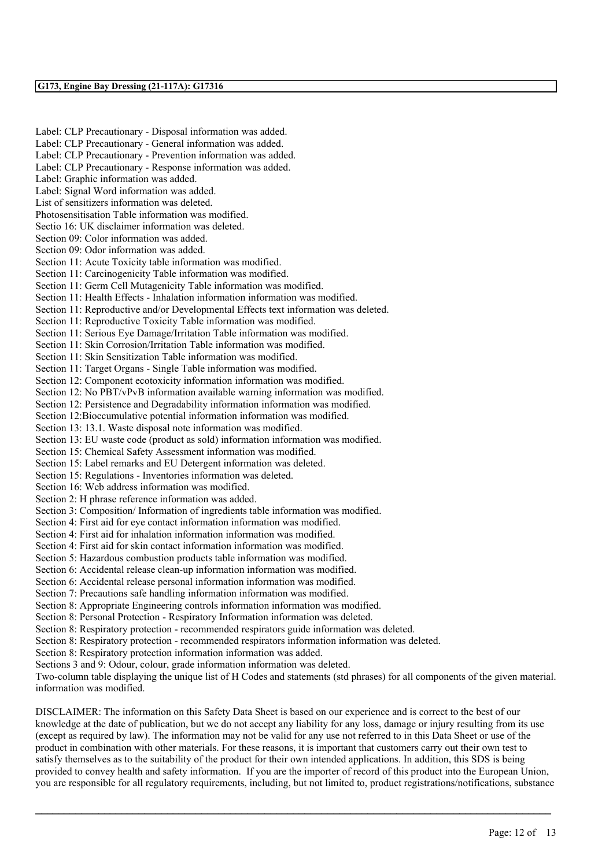Label: CLP Precautionary - Disposal information was added. Label: CLP Precautionary - General information was added. Label: CLP Precautionary - Prevention information was added. Label: CLP Precautionary - Response information was added. Label: Graphic information was added. Label: Signal Word information was added. List of sensitizers information was deleted. Photosensitisation Table information was modified. Sectio 16: UK disclaimer information was deleted. Section 09: Color information was added. Section 09: Odor information was added. Section 11: Acute Toxicity table information was modified. Section 11: Carcinogenicity Table information was modified. Section 11: Germ Cell Mutagenicity Table information was modified. Section 11: Health Effects - Inhalation information information was modified. Section 11: Reproductive and/or Developmental Effects text information was deleted. Section 11: Reproductive Toxicity Table information was modified. Section 11: Serious Eye Damage/Irritation Table information was modified. Section 11: Skin Corrosion/Irritation Table information was modified. Section 11: Skin Sensitization Table information was modified. Section 11: Target Organs - Single Table information was modified. Section 12: Component ecotoxicity information information was modified. Section 12: No PBT/vPvB information available warning information was modified. Section 12: Persistence and Degradability information information was modified. Section 12:Bioccumulative potential information information was modified. Section 13: 13.1. Waste disposal note information was modified. Section 13: EU waste code (product as sold) information information was modified. Section 15: Chemical Safety Assessment information was modified. Section 15: Label remarks and EU Detergent information was deleted. Section 15: Regulations - Inventories information was deleted. Section 16: Web address information was modified. Section 2: H phrase reference information was added. Section 3: Composition/ Information of ingredients table information was modified. Section 4: First aid for eye contact information information was modified. Section 4: First aid for inhalation information information was modified. Section 4: First aid for skin contact information information was modified. Section 5: Hazardous combustion products table information was modified. Section 6: Accidental release clean-up information information was modified. Section 6: Accidental release personal information information was modified. Section 7: Precautions safe handling information information was modified. Section 8: Appropriate Engineering controls information information was modified. Section 8: Personal Protection - Respiratory Information information was deleted. Section 8: Respiratory protection - recommended respirators guide information was deleted. Section 8: Respiratory protection - recommended respirators information information was deleted. Section 8: Respiratory protection information information was added. Sections 3 and 9: Odour, colour, grade information information was deleted.

Two-column table displaying the unique list of H Codes and statements (std phrases) for all components of the given material. information was modified.

DISCLAIMER: The information on this Safety Data Sheet is based on our experience and is correct to the best of our knowledge at the date of publication, but we do not accept any liability for any loss, damage or injury resulting from its use (except as required by law). The information may not be valid for any use not referred to in this Data Sheet or use of the product in combination with other materials. For these reasons, it is important that customers carry out their own test to satisfy themselves as to the suitability of the product for their own intended applications. In addition, this SDS is being provided to convey health and safety information. If you are the importer of record of this product into the European Union, you are responsible for all regulatory requirements, including, but not limited to, product registrations/notifications, substance